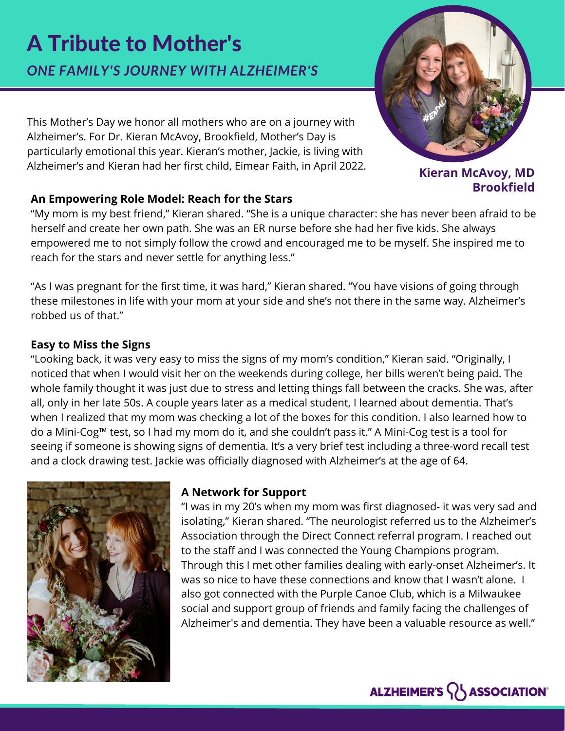# A Tribute to Mother's

*ONE FAMILY'S JOURNEY WITH ALZHEIMER'S*

This Mother's Day we honor all mothers who are on a journey with Alzheimer's. For Dr. Kieran McAvoy, Brookfield, Mother's Day is particularly emotional this year. Kieran's mother, Jackie, is living with Alzheimer's and Kieran had her first child, Eimear Faith, in April 2022.

#### **An Empowering Role Model: Reach for the Stars**

"My mom is my best friend," Kieran shared. "She is a unique character: she has never been afraid to be herself and create her own path. She was an ER nurse before she had her five kids. She always empowered me to not simply follow the crowd and encouraged me to be myself. She inspired me to reach for the stars and never settle for anything less."

"As I was pregnant for the first time, it was hard," Kieran shared. "You have visions of going through these milestones in life with your mom at your side and she's not there in the same way. Alzheimer's robbed us of that."

#### **Easy to Miss the Signs**

"Looking back, it was very easy to miss the signs of my mom's condition," Kieran said. "Originally, I noticed that when I would visit her on the weekends during college, her bills weren't being paid. The whole family thought it was just due to stress and letting things fall between the cracks. She was, after all, only in her late 50s. A couple years later as a medical student, I learned about dementia. That's when I realized that my mom was checking a lot of the boxes for this condition. I also learned how to do a Mini-Cog™ test, so I had my mom do it, and she couldn't pass it." A Mini-Cog test is a tool for seeing if someone is showing signs of dementia. It's a very brief test including a three-word recall test and a clock drawing test. Jackie was officially diagnosed with Alzheimer's at the age of 64.



#### **A Network for Support**

"I was in my 20's when my mom was first diagnosed- it was very sad and isolating," Kieran shared. "The neurologist referred us to the Alzheimer's Association through the Direct Connect referral program. I reached out to the staff and I was connected the Young Champions program. Through this I met other families dealing with early-onset Alzheimer's. It was so nice to have these connections and know that I wasn't alone. I also got connected with the Purple Canoe Club, which is a Milwaukee social and support group of friends and family facing the challenges of Alzheimer's and dementia. They have been a valuable resource as well."



**Kieran McAvoy, MD Brookfield**